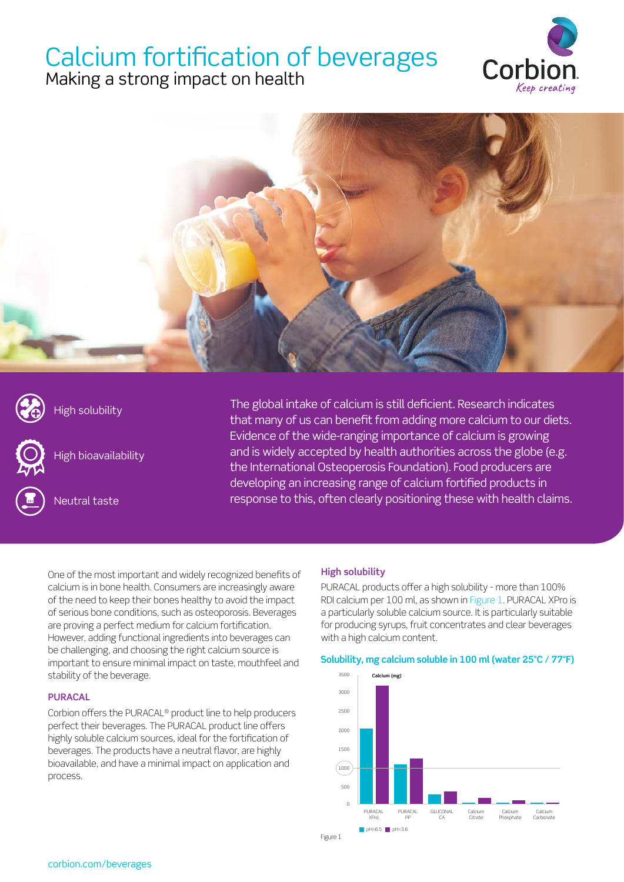# Calcium fortification of beverages

Making a strong impact on health





High solubility





Neutral taste

The global intake of calcium is still deficient. Research indicates that many of us can benefit from adding more calcium to our diets. Evidence of the wide-ranging importance of calcium is growing and is widely accepted by health authorities across the globe (e.g. the International Osteoperosis Foundation). Food producers are developing an increasing range of calcium fortified products in response to this, often clearly positioning these with health claims.

One of the most important and widely recognized benefits of calcium is in bone health. Consumers are increasingly aware of the need to keep their bones healthy to avoid the impact of serious bone conditions, such as osteoporosis. Beverages are proving a perfect medium for calcium fortification. However, adding functional ingredients into beverages can be challenging, and choosing the right calcium source is important to ensure minimal impact on taste, mouthfeel and stability of the beverage.

### **PURACAL**

Corbion offers the PURACAL® product line to help producers perfect their beverages. The PURACAL product line offers highly soluble calcium sources, ideal for the fortification of beverages. The products have a neutral flavor, are highly bioavailable, and have a minimal impact on application and process.

### **High solubility**

PURACAL products offer a high solubility - more than 100% RDI calcium per 100 ml, as shown in Figure 1. PURACAL XPro is a particularly soluble calcium source. It is particularly suitable for producing syrups, fruit concentrates and clear beverages with a high calcium content.

#### **Solubility, mg calcium soluble in 100 ml (water 25°C / 77°F)**